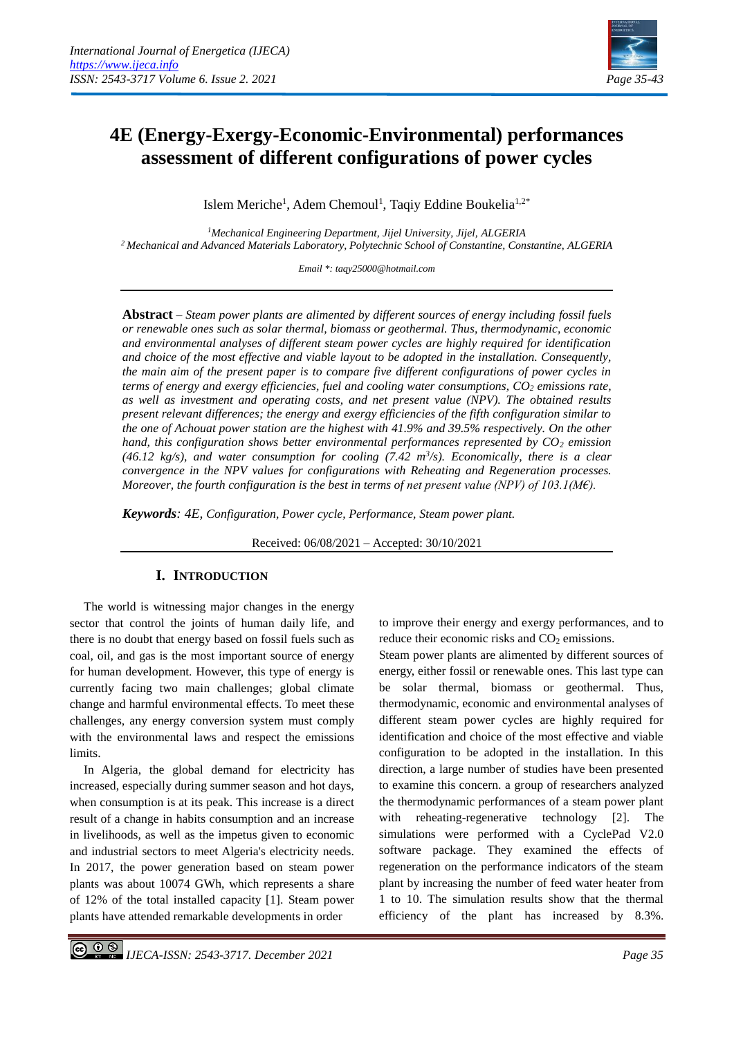ľ



# **4E (Energy-Exergy-Economic-Environmental) performances assessment of different configurations of power cycles**

Islem Meriche<sup>1</sup>, Adem Chemoul<sup>1</sup>, Taqiy Eddine Boukelia<sup>1,2\*</sup>

*<sup>1</sup>Mechanical Engineering Department, Jijel University, Jijel, ALGERIA <sup>2</sup>Mechanical and Advanced Materials Laboratory, Polytechnic School of Constantine, Constantine, ALGERIA*

*Email \*: taqy25000@hotmail.com*

**Abstract** – *Steam power plants are alimented by different sources of energy including fossil fuels or renewable ones such as solar thermal, biomass or geothermal. Thus, thermodynamic, economic and environmental analyses of different steam power cycles are highly required for identification and choice of the most effective and viable layout to be adopted in the installation. Consequently, the main aim of the present paper is to compare five different configurations of power cycles in terms of energy and exergy efficiencies, fuel and cooling water consumptions, CO<sup>2</sup> emissions rate, as well as investment and operating costs, and net present value (NPV). The obtained results present relevant differences; the energy and exergy efficiencies of the fifth configuration similar to the one of Achouat power station are the highest with 41.9% and 39.5% respectively. On the other hand, this configuration shows better environmental performances represented by CO<sup>2</sup> emission*   $(46.12 \text{ kg/s})$ , and water consumption for cooling  $(7.42 \text{ m}^3/\text{s})$ . *Economically, there is a clear convergence in the NPV values for configurations with Reheating and Regeneration processes. Moreover, the fourth configuration is the best in terms of net present value (NPV) of 103.1(M€).*

*Keywords: 4E, Configuration, Power cycle, Performance, Steam power plant.*

Received: 06/08/2021 – Accepted: 30/10/2021

# **I. INTRODUCTION**

The world is witnessing major changes in the energy sector that control the joints of human daily life, and there is no doubt that energy based on fossil fuels such as coal, oil, and gas is the most important source of energy for human development. However, this type of energy is currently facing two main challenges; global climate change and harmful environmental effects. To meet these challenges, any energy conversion system must comply with the environmental laws and respect the emissions limits.

In Algeria, the global demand for electricity has increased, especially during summer season and hot days, when consumption is at its peak. This increase is a direct result of a change in habits consumption and an increase in livelihoods, as well as the impetus given to economic and industrial sectors to meet Algeria's electricity needs. In 2017, the power generation based on steam power plants was about 10074 GWh, which represents a share of 12% of the total installed capacity [1]. Steam power plants have attended remarkable developments in order

to improve their energy and exergy performances, and to reduce their economic risks and  $CO<sub>2</sub>$  emissions.

Steam power plants are alimented by different sources of energy, either fossil or renewable ones. This last type can be solar thermal, biomass or geothermal. Thus, thermodynamic, economic and environmental analyses of different steam power cycles are highly required for identification and choice of the most effective and viable configuration to be adopted in the installation. In this direction, a large number of studies have been presented to examine this concern. a group of researchers analyzed the thermodynamic performances of a steam power plant with reheating-regenerative technology [2]. The simulations were performed with a CyclePad V2.0 software package. They examined the effects of regeneration on the performance indicators of the steam plant by increasing the number of feed water heater from 1 to 10. The simulation results show that the thermal efficiency of the plant has increased by 8.3%.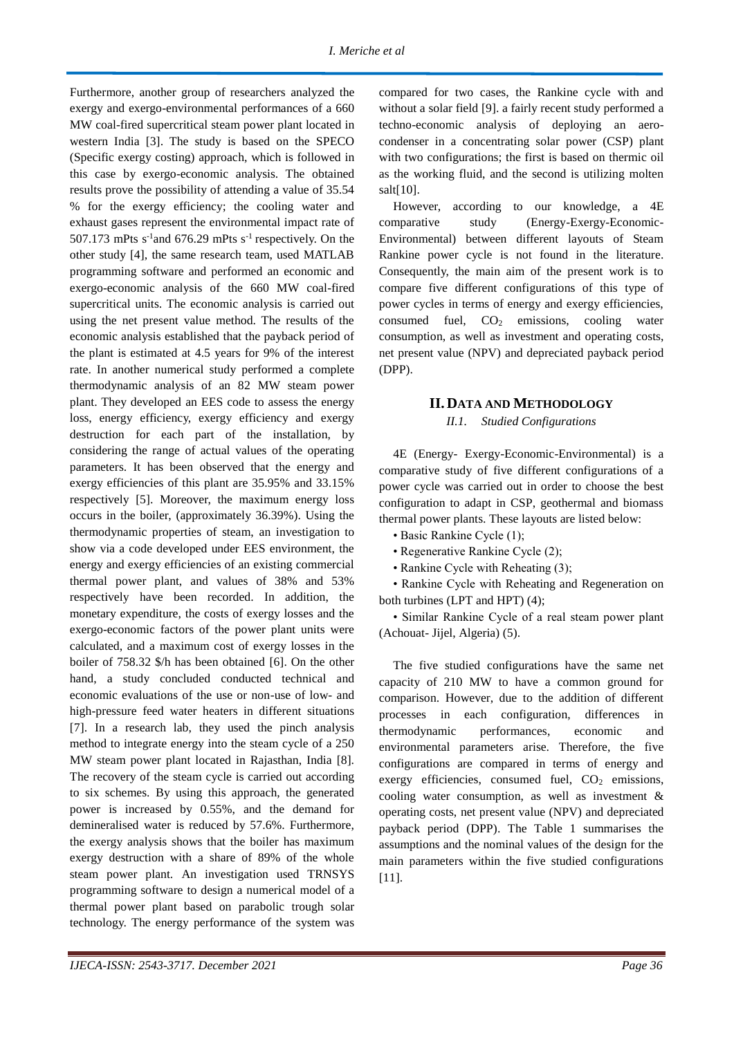Furthermore, another group of researchers analyzed the exergy and exergo-environmental performances of a 660 MW coal-fired supercritical steam power plant located in western India [3]. The study is based on the SPECO (Specific exergy costing) approach, which is followed in this case by exergo-economic analysis. The obtained results prove the possibility of attending a value of 35.54 % for the exergy efficiency; the cooling water and exhaust gases represent the environmental impact rate of 507.173 mPts  $s^{-1}$  and 676.29 mPts  $s^{-1}$  respectively. On the other study [4], the same research team, used MATLAB programming software and performed an economic and exergo-economic analysis of the 660 MW coal-fired supercritical units. The economic analysis is carried out using the net present value method. The results of the economic analysis established that the payback period of the plant is estimated at 4.5 years for 9% of the interest rate. In another numerical study performed a complete thermodynamic analysis of an 82 MW steam power plant. They developed an EES code to assess the energy loss, energy efficiency, exergy efficiency and exergy destruction for each part of the installation, by considering the range of actual values of the operating parameters. It has been observed that the energy and exergy efficiencies of this plant are 35.95% and 33.15% respectively [5]. Moreover, the maximum energy loss occurs in the boiler, (approximately 36.39%). Using the thermodynamic properties of steam, an investigation to show via a code developed under EES environment, the energy and exergy efficiencies of an existing commercial thermal power plant, and values of 38% and 53% respectively have been recorded. In addition, the monetary expenditure, the costs of exergy losses and the exergo-economic factors of the power plant units were calculated, and a maximum cost of exergy losses in the boiler of 758.32 \$/h has been obtained [6]. On the other hand, a study concluded conducted technical and economic evaluations of the use or non-use of low- and high-pressure feed water heaters in different situations [7]. In a research lab, they used the pinch analysis method to integrate energy into the steam cycle of a 250 MW steam power plant located in Rajasthan, India [8]. The recovery of the steam cycle is carried out according to six schemes. By using this approach, the generated power is increased by 0.55%, and the demand for demineralised water is reduced by 57.6%. Furthermore, the exergy analysis shows that the boiler has maximum exergy destruction with a share of 89% of the whole steam power plant. An investigation used TRNSYS programming software to design a numerical model of a thermal power plant based on parabolic trough solar technology. The energy performance of the system was

compared for two cases, the Rankine cycle with and without a solar field [9]. a fairly recent study performed a techno-economic analysis of deploying an aerocondenser in a concentrating solar power (CSP) plant with two configurations; the first is based on thermic oil as the working fluid, and the second is utilizing molten salt $[10]$ .

However, according to our knowledge, a 4E comparative study (Energy-Exergy-Economic-Environmental) between different layouts of Steam Rankine power cycle is not found in the literature. Consequently, the main aim of the present work is to compare five different configurations of this type of power cycles in terms of energy and exergy efficiencies, consumed fuel,  $CO<sub>2</sub>$  emissions, cooling water consumption, as well as investment and operating costs, net present value (NPV) and depreciated payback period (DPP).

#### **II. DATA AND METHODOLOGY**

*II.1. Studied Configurations*

4E (Energy- Exergy-Economic-Environmental) is a comparative study of five different configurations of a power cycle was carried out in order to choose the best configuration to adapt in CSP, geothermal and biomass thermal power plants. These layouts are listed below:

- Basic Rankine Cycle (1);
- Regenerative Rankine Cycle (2);
- Rankine Cycle with Reheating (3);

• Rankine Cycle with Reheating and Regeneration on both turbines (LPT and HPT) (4);

• Similar Rankine Cycle of a real steam power plant (Achouat- Jijel, Algeria) (5).

The five studied configurations have the same net capacity of 210 MW to have a common ground for comparison. However, due to the addition of different processes in each configuration, differences in thermodynamic performances, economic and environmental parameters arise. Therefore, the five configurations are compared in terms of energy and exergy efficiencies, consumed fuel,  $CO<sub>2</sub>$  emissions, cooling water consumption, as well as investment & operating costs, net present value (NPV) and depreciated payback period (DPP). The Table 1 summarises the assumptions and the nominal values of the design for the main parameters within the five studied configurations [11].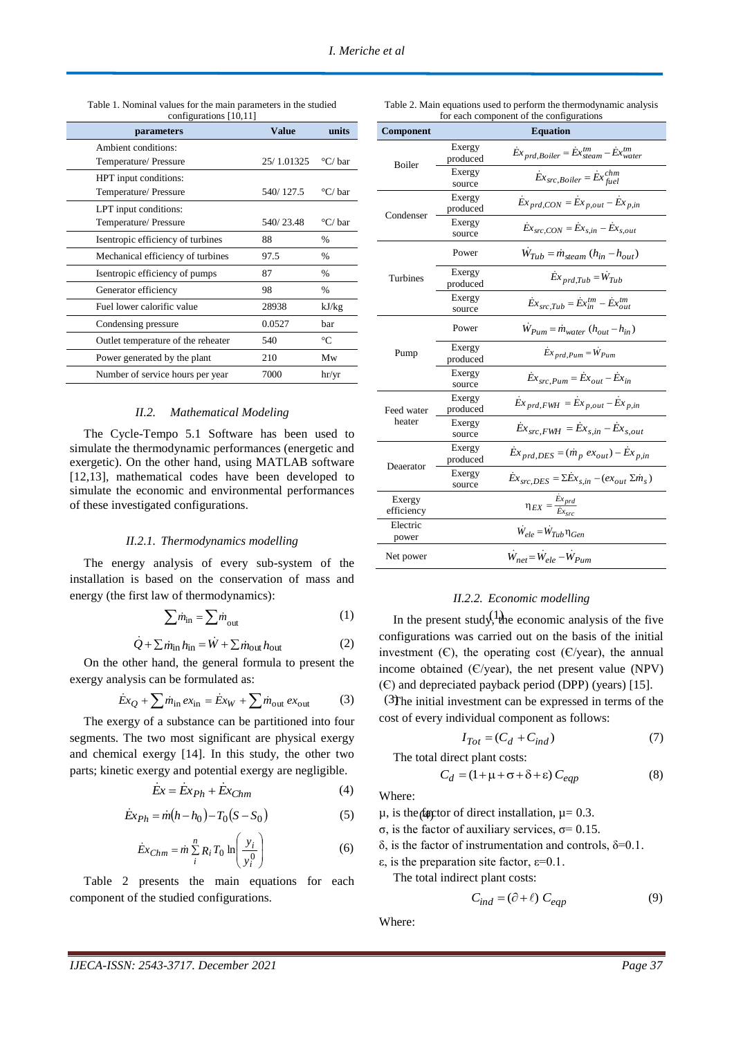| parameters                         | <b>Value</b> | units                 |
|------------------------------------|--------------|-----------------------|
| Ambient conditions:                |              |                       |
| Temperature/Pressure               | 25/1.01325   | $\rm{^{\circ}C}/$ bar |
| HPT input conditions:              |              |                       |
| Temperature/Pressure               | 540/127.5    | °C/ bar               |
| LPT input conditions:              |              |                       |
| Temperature/ Pressure              | 540/23.48    | °C/ bar               |
| Isentropic efficiency of turbines  | 88           | %                     |
| Mechanical efficiency of turbines  | 97.5         | %                     |
| Isentropic efficiency of pumps     | 87           | $\frac{0}{0}$         |
| Generator efficiency               | 98           | $\frac{0}{0}$         |
| Fuel lower calorific value         | 28938        | kJ/kg                 |
| Condensing pressure                | 0.0527       | bar                   |
| Outlet temperature of the reheater | 540          | °C                    |
| Power generated by the plant       | 210          | Mw                    |
| Number of service hours per year   | 7000         | hr/yr                 |

Table 1. Nominal values for the main parameters in the studied

# *II.2. Mathematical Modeling*

The Cycle-Tempo 5.1 Software has been used to simulate the thermodynamic performances (energetic and exergetic). On the other hand, using MATLAB software [12,13], mathematical codes have been developed to simulate the economic and environmental performances of these investigated configurations.

#### *II.2.1. Thermodynamics modelling*

The energy analysis of every sub-system of the installation is based on the conservation of mass and energy (the first law of thermodynamics):

$$
\sum m_{\rm in} = \sum m_{\rm out} \tag{1}
$$

$$
\dot{Q} + \sum \dot{m}_{\rm in} h_{\rm in} = \dot{W} + \sum \dot{m}_{\rm out} h_{\rm out}
$$
 (2)

On the other hand, the general formula to present the exergy analysis can be formulated as:

$$
\dot{E}x_Q + \sum \dot{m}_{\rm in} \, e x_{\rm in} = \dot{E}x_W + \sum \dot{m}_{\rm out} \, e x_{\rm out} \tag{3}
$$

The exergy of a substance can be partitioned into four segments. The two most significant are physical exergy and chemical exergy [14]. In this study, the other two parts; kinetic exergy and potential exergy are negligible.

$$
\dot{E}x = \dot{E}x_{Ph} + \dot{E}x_{Chm} \tag{4}
$$

$$
Ex_{Ph} = m(h - h_0) - T_0(S - S_0)
$$
 (5)  $\mu$ , is the (a) factor of direct installation,  $\mu = 0.3$ .

$$
\dot{E}x_{Chm} = \dot{m} \sum_{i}^{n} R_i T_0 \ln\left(\frac{y_i}{y_i^0}\right)
$$
 (6)

Table 2 presents the main equations for each component of the studied configurations.

| for each component of the configurations |                    |                                                                                      |  |
|------------------------------------------|--------------------|--------------------------------------------------------------------------------------|--|
| Component                                | <b>Equation</b>    |                                                                                      |  |
| Boiler                                   | Exergy<br>produced | $\dot{E}x_{prd,Boiler} = \dot{E}x_{steam}^{tm} - \dot{E}x_{water}^{tm}$              |  |
|                                          | Exergy<br>source   | $\dot{Ex}_{src,Boiler} = \dot{Ex}_{fuel}^{chm}$                                      |  |
| Condenser                                | Exergy<br>produced | $\dot{E}x_{prd,CON} = \dot{E}x_{p,out} - \dot{E}x_{p,in}$                            |  |
|                                          | Exergy<br>source   | $\dot{E}x_{src,CON} = \dot{E}x_{s,in} - \dot{E}x_{s,out}$                            |  |
|                                          | Power              | $\dot{W}_{Tub} = \dot{m}_{steam} (h_{in} - h_{out})$                                 |  |
| Turbines                                 | Exergy<br>produced | $\dot{E}x_{prd,Tub} = \dot{W}_{Tub}$                                                 |  |
|                                          | Exergy<br>source   | $\dot{E}x_{src,Tub} = \dot{E}x_{in}^{tm} - \dot{E}x_{out}^{tm}$                      |  |
|                                          | Power              | $\dot{W}_{Pum} = \dot{m}_{water} (h_{out} - h_{in})$                                 |  |
| Pump                                     | Exergy<br>produced | $\dot{E}x_{prd, Pum} = \dot{W}_{Pum}$                                                |  |
|                                          | Exergy<br>source   | $\dot{E}x_{src,Pum} = \dot{E}x_{out} - \dot{E}x_{in}$                                |  |
| Feed water                               | Exergy<br>produced | $\dot{E}x_{prd,FWH} = \dot{E}x_{p,out} - \dot{E}x_{p,in}$                            |  |
| heater                                   | Exergy<br>source   | $\dot{E}x_{src,FWH} = \dot{E}x_{s,in} - \dot{E}x_{s,out}$                            |  |
| Deaerator                                | Exergy<br>produced | $\dot{E}x_{prd,DES} = (m_p e x_{out}) - \dot{E}x_{p,in}$                             |  |
|                                          | Exergy<br>source   | $\dot{E}x_{src,DES} = \Sigma \dot{E}x_{s,in} - (ex_{out} \Sigma \dot{m}_s)$          |  |
| Exergy<br>efficiency                     |                    | $\eta_{\textit{EX}} = \frac{\textit{Ex}_{\textit{prd}}}{\textit{Ex}_{\textit{src}}}$ |  |
| Electric<br>power                        |                    | $\dot{W}_{ele} = \dot{W}_{Tub} \eta_{Gen}$                                           |  |
| Net power                                |                    | $\dot{W}_{net} = \dot{W}_{ele} - \dot{W}_{Pum}$                                      |  |

Table 2. Main equations used to perform the thermodynamic analysis

## *II.2.2. Economic modelling*

 $\lim_{\text{in}} = \sum m_{\text{out}}$  (1) In the present study, the economic analysis of the five configurations was carried out on the basis of the initial investment  $(C)$ , the operating cost  $(C/\gamma)$ , the annual income obtained  $(E/\text{year})$ , the net present value (NPV)  $(C)$  and depreciated payback period (DPP) (years) [15].

> $3$ The initial investment can be expressed in terms of the cost of every individual component as follows:

$$
I_{Tot} = (C_d + C_{ind})
$$
 (7)

The total direct plant costs:

$$
C_d = (1 + \mu + \sigma + \delta + \varepsilon) C_{eqp}
$$
 (8)

Where:

σ, is the factor of auxiliary services, σ= 0.15.

δ, is the factor of instrumentation and controls, δ=0.1.

ε, is the preparation site factor, ε=0.1.

The total indirect plant costs:

$$
C_{ind} = (\partial + \ell) C_{eqp}
$$
 (9)

Where: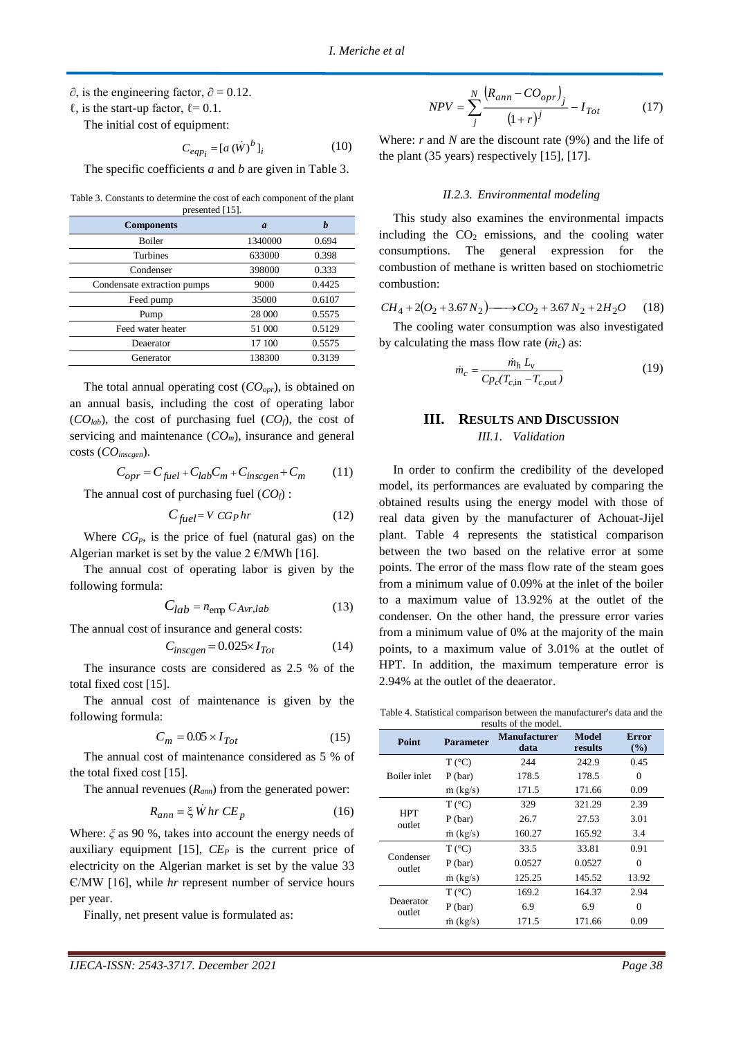$\partial$ , is the engineering factor,  $\partial = 0.12$ .

 $\ell$ , is the start-up factor,  $\ell$  = 0.1.

The initial cost of equipment:

$$
C_{eqp_i} = [a \left(\dot{W}\right)^b]_i \tag{10}
$$

The specific coefficients *a* and *b* are given in Table 3.

Table 3. Constants to determine the cost of each component of the plant presented [15].

| <b>Components</b>           | $\boldsymbol{a}$ |        |
|-----------------------------|------------------|--------|
| <b>Boiler</b>               | 1340000          | 0.694  |
| <b>Turbines</b>             | 633000           | 0.398  |
| Condenser                   | 398000           | 0.333  |
| Condensate extraction pumps | 9000             | 0.4425 |
| Feed pump                   | 35000            | 0.6107 |
| Pump                        | 28 000           | 0.5575 |
| Feed water heater           | 51 000           | 0.5129 |
| Deaerator                   | 17 100           | 0.5575 |
| Generator                   | 138300           | 0.3139 |

The total annual operating cost (*COopr*), is obtained on an annual basis, including the cost of operating labor  $(CO_{lab})$ , the cost of purchasing fuel  $(CO_f)$ , the cost of servicing and maintenance  $(CO_m)$ , insurance and general costs (*COinscgen*).

$$
C_{opr} = C_{fuel} + C_{lab}C_m + C_{inscgen} + C_m \tag{11}
$$

The annual cost of purchasing fuel  $(CO_f)$ :

$$
C_{fuel} = V C G_P hr \tag{12}
$$

Where  $CG_p$ , is the price of fuel (natural gas) on the Algerian market is set by the value  $2 \text{ E}/\text{MWh}$  [16].

The annual cost of operating labor is given by the following formula:

$$
C_{lab} = n_{\text{emp}} C_{Avr, lab} \tag{13}
$$

The annual cost of insurance and general costs:

$$
C_{inscgen} = 0.025 \times I_{Tot} \tag{14}
$$

The insurance costs are considered as 2.5 % of the total fixed cost [15].

The annual cost of maintenance is given by the following formula:

$$
C_m = 0.05 \times I_{Tot} \tag{15}
$$

The annual cost of maintenance considered as 5 % of the total fixed cost [15].

The annual revenues (*Rann*) from the generated power:

$$
R_{ann} = \xi \dot{W} \, hr \, CE_p \tag{16}
$$

Where: *ξ* as 90 %, takes into account the energy needs of auxiliary equipment [15], *CE<sup>P</sup>* is the current price of electricity on the Algerian market is set by the value 33 Є/MW [16], while *hr* represent number of service hours per year.

Finally, net present value is formulated as:

$$
NPV = \sum_{j}^{N} \frac{(R_{ann} - CO_{opr})_j}{(1+r)^j} - I_{Tot}
$$
 (17)

Where: *r* and *N* are the discount rate (9%) and the life of the plant (35 years) respectively [15], [17].

#### *II.2.3. Environmental modeling*

This study also examines the environmental impacts including the  $CO<sub>2</sub>$  emissions, and the cooling water consumptions. The general expression for the combustion of methane is written based on stochiometric combustion:

$$
CH_4 + 2(O_2 + 3.67N_2) \longrightarrow CO_2 + 3.67N_2 + 2H_2O \tag{18}
$$

The cooling water consumption was also investigated by calculating the mass flow rate (*ṁc*) as:

$$
\dot{m}_c = \frac{\dot{m}_h \, L_v}{C p_c (T_{c, \text{in}} - T_{c, \text{out}})}\tag{19}
$$

# **III. RESULTS AND DISCUSSION** *III.1. Validation*

In order to confirm the credibility of the developed model, its performances are evaluated by comparing the obtained results using the energy model with those of real data given by the manufacturer of Achouat-Jijel plant. Table 4 represents the statistical comparison between the two based on the relative error at some points. The error of the mass flow rate of the steam goes from a minimum value of 0.09% at the inlet of the boiler to a maximum value of 13.92% at the outlet of the condenser. On the other hand, the pressure error varies from a minimum value of 0% at the majority of the main points, to a maximum value of 3.01% at the outlet of HPT. In addition, the maximum temperature error is 2.94% at the outlet of the deaerator.

Table 4. Statistical comparison between the manufacturer's data and the results of the model.

|                      |                  | <b>Manufacturer</b> | <b>Model</b> | <b>Error</b> |
|----------------------|------------------|---------------------|--------------|--------------|
| Point                | <b>Parameter</b> | data                | results      | (%)          |
| Boiler inlet         | $T(^{\circ}C)$   | 244                 | 242.9        | 0.45         |
|                      | $P$ (bar)        | 178.5               | 178.5        | $\theta$     |
|                      | $\dot{m}$ (kg/s) | 171.5               | 171.66       | 0.09         |
| <b>HPT</b><br>outlet | $T(^{\circ}C)$   | 329                 | 321.29       | 2.39         |
|                      | $P$ (bar)        | 26.7                | 27.53        | 3.01         |
|                      | $\dot{m}$ (kg/s) | 160.27              | 165.92       | 3.4          |
| Condenser<br>outlet  | $T(^{\circ}C)$   | 33.5                | 33.81        | 0.91         |
|                      | $P$ (bar)        | 0.0527              | 0.0527       | 0            |
|                      | $\dot{m}$ (kg/s) | 125.25              | 145.52       | 13.92        |
| Deaerator<br>outlet  | $T(^{\circ}C)$   | 169.2               | 164.37       | 2.94         |
|                      | $P$ (bar)        | 6.9                 | 6.9          | $\theta$     |
|                      | $\dot{m}$ (kg/s) | 171.5               | 171.66       | 0.09         |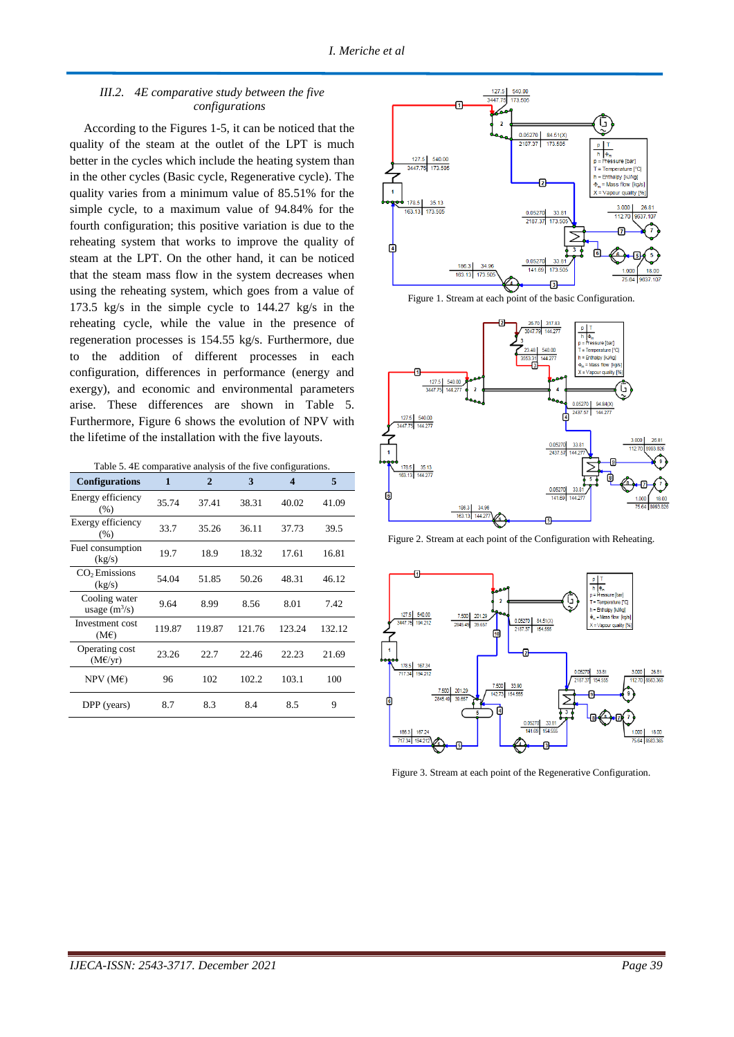# *III.2. 4E comparative study between the five configurations*

According to the Figures 1-5, it can be noticed that the quality of the steam at the outlet of the LPT is much better in the cycles which include the heating system than in the other cycles (Basic cycle, Regenerative cycle). The quality varies from a minimum value of 85.51% for the simple cycle, to a maximum value of 94.84% for the fourth configuration; this positive variation is due to the reheating system that works to improve the quality of steam at the LPT. On the other hand, it can be noticed that the steam mass flow in the system decreases when using the reheating system, which goes from a value of 173.5 kg/s in the simple cycle to 144.27 kg/s in the reheating cycle, while the value in the presence of regeneration processes is 154.55 kg/s. Furthermore, due to the addition of different processes in each configuration, differences in performance (energy and exergy), and economic and environmental parameters arise. These differences are shown in Table 5. Furthermore, Figure 6 shows the evolution of NPV with the lifetime of the installation with the five layouts.

Table 5. 4E comparative analysis of the five configurations.

| <b>Configurations</b>                  | 1      | $\mathbf{2}$ | 3      | $\overline{\mathbf{4}}$ | 5      |
|----------------------------------------|--------|--------------|--------|-------------------------|--------|
| Energy efficiency<br>(% )              | 35.74  | 37.41        | 38.31  | 40.02                   | 41.09  |
| Exergy efficiency<br>(% )              | 33.7   | 35.26        | 36.11  | 37.73                   | 39.5   |
| Fuel consumption<br>(kg/s)             | 19.7   | 18.9         | 18.32  | 17.61                   | 16.81  |
| CO <sub>2</sub> Emissions<br>(kg/s)    | 54.04  | 51.85        | 50.26  | 48.31                   | 46.12  |
| Cooling water<br>usage $(m^3/s)$       | 9.64   | 8.99         | 8.56   | 8.01                    | 7.42   |
| Investment cost<br>(ME)                | 119.87 | 119.87       | 121.76 | 123.24                  | 132.12 |
| Operating cost<br>$(M \in \forall yr)$ | 23.26  | 22.7         | 22.46  | 22.23                   | 21.69  |
| $NPV$ (ME)                             | 96     | 102          | 102.2  | 103.1                   | 100    |
| DPP (years)                            | 8.7    | 8.3          | 8.4    | 8.5                     | 9      |



Figure 1. Stream at each point of the basic Configuration.



Figure 2. Stream at each point of the Configuration with Reheating.



Figure 3. Stream at each point of the Regenerative Configuration.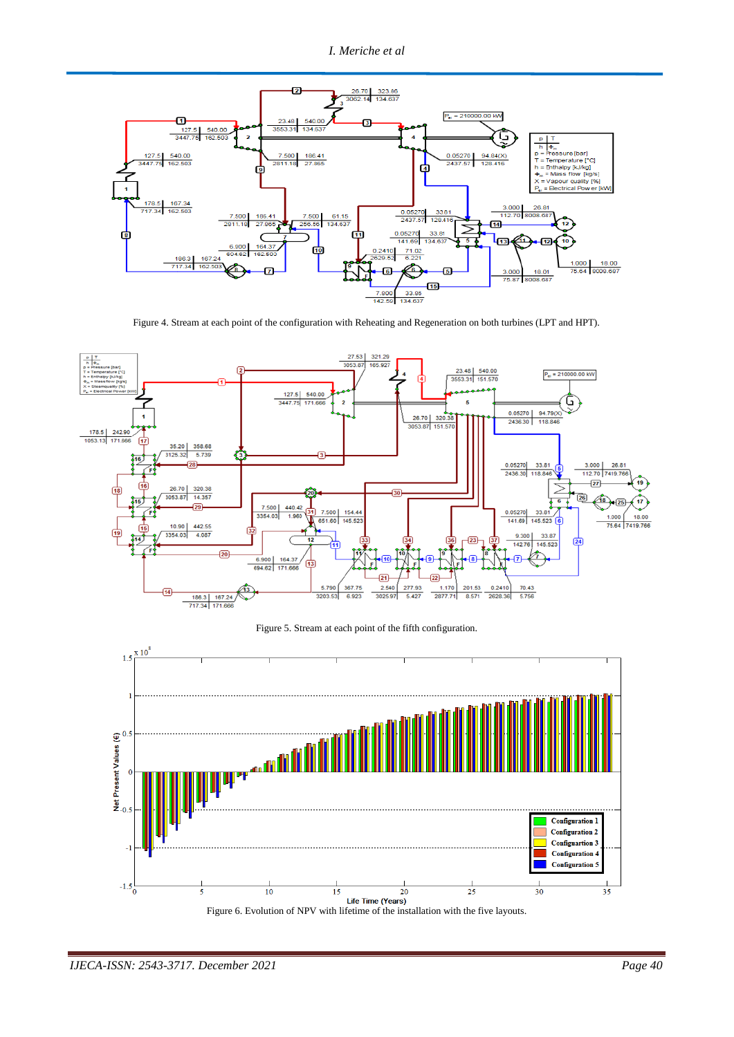

Figure 4. Stream at each point of the configuration with Reheating and Regeneration on both turbines (LPT and HPT).



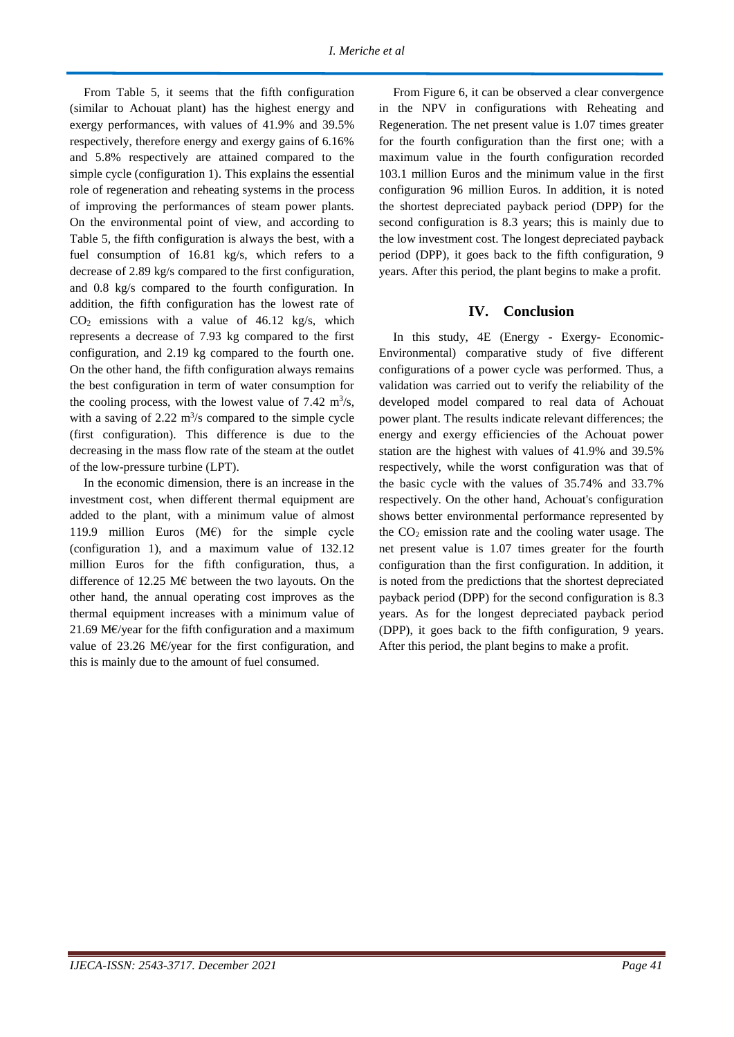From Table 5, it seems that the fifth configuration (similar to Achouat plant) has the highest energy and exergy performances, with values of 41.9% and 39.5% respectively, therefore energy and exergy gains of 6.16% and 5.8% respectively are attained compared to the simple cycle (configuration 1). This explains the essential role of regeneration and reheating systems in the process of improving the performances of steam power plants. On the environmental point of view, and according to Table 5, the fifth configuration is always the best, with a fuel consumption of 16.81 kg/s, which refers to a decrease of 2.89 kg/s compared to the first configuration, and 0.8 kg/s compared to the fourth configuration. In addition, the fifth configuration has the lowest rate of  $CO<sub>2</sub>$  emissions with a value of 46.12 kg/s, which represents a decrease of 7.93 kg compared to the first configuration, and 2.19 kg compared to the fourth one. On the other hand, the fifth configuration always remains the best configuration in term of water consumption for the cooling process, with the lowest value of  $7.42 \text{ m}^3/\text{s}$ , with a saving of  $2.22 \text{ m}^3\text{/s}$  compared to the simple cycle (first configuration). This difference is due to the decreasing in the mass flow rate of the steam at the outlet of the low-pressure turbine (LPT).

In the economic dimension, there is an increase in the investment cost, when different thermal equipment are added to the plant, with a minimum value of almost 119.9 million Euros (M€) for the simple cycle (configuration 1), and a maximum value of 132.12 million Euros for the fifth configuration, thus, a difference of 12.25 M $\epsilon$  between the two layouts. On the other hand, the annual operating cost improves as the thermal equipment increases with a minimum value of 21.69 M $\varepsilon$ /year for the fifth configuration and a maximum value of 23.26 M€/year for the first configuration, and this is mainly due to the amount of fuel consumed.

From Figure 6, it can be observed a clear convergence in the NPV in configurations with Reheating and Regeneration. The net present value is 1.07 times greater for the fourth configuration than the first one; with a maximum value in the fourth configuration recorded 103.1 million Euros and the minimum value in the first configuration 96 million Euros. In addition, it is noted the shortest depreciated payback period (DPP) for the second configuration is 8.3 years; this is mainly due to the low investment cost. The longest depreciated payback period (DPP), it goes back to the fifth configuration, 9 years. After this period, the plant begins to make a profit.

## **IV. Conclusion**

In this study, 4E (Energy - Exergy- Economic-Environmental) comparative study of five different configurations of a power cycle was performed. Thus, a validation was carried out to verify the reliability of the developed model compared to real data of Achouat power plant. The results indicate relevant differences; the energy and exergy efficiencies of the Achouat power station are the highest with values of 41.9% and 39.5% respectively, while the worst configuration was that of the basic cycle with the values of 35.74% and 33.7% respectively. On the other hand, Achouat's configuration shows better environmental performance represented by the  $CO<sub>2</sub>$  emission rate and the cooling water usage. The net present value is 1.07 times greater for the fourth configuration than the first configuration. In addition, it is noted from the predictions that the shortest depreciated payback period (DPP) for the second configuration is 8.3 years. As for the longest depreciated payback period (DPP), it goes back to the fifth configuration, 9 years. After this period, the plant begins to make a profit.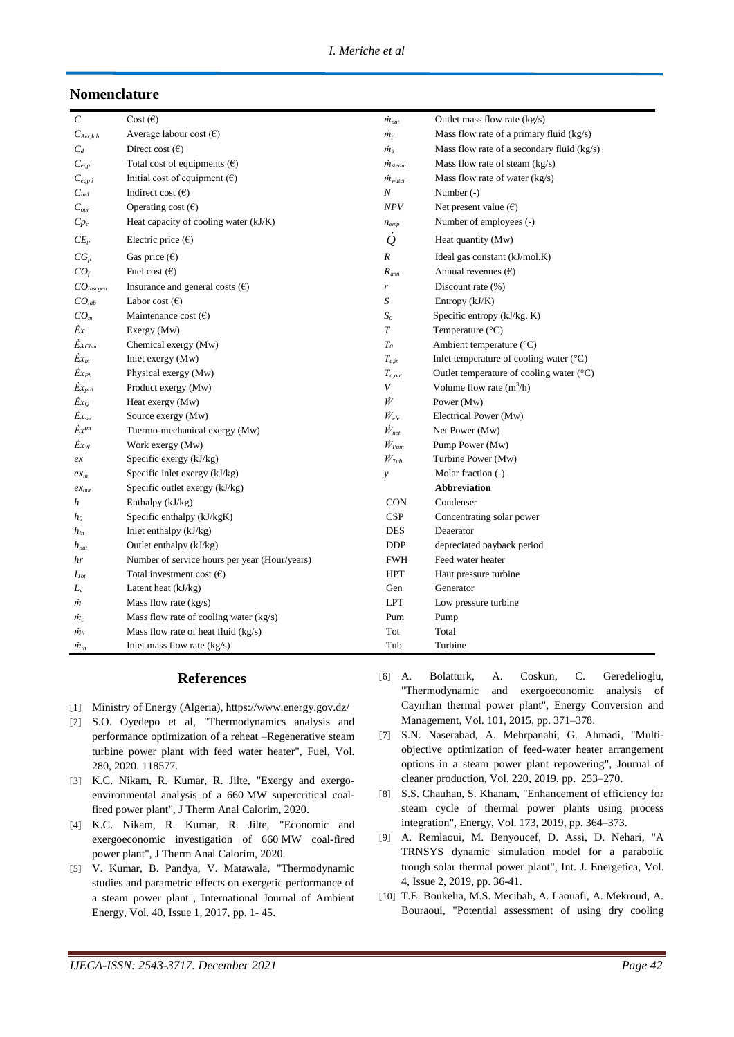# **Nomenclature**

| $\epsilon$              | Cost $(\epsilon)$                             | $\dot{m}_{out}$         | Outlet mass flow rate $(kg/s)$                      |
|-------------------------|-----------------------------------------------|-------------------------|-----------------------------------------------------|
| $C_{Avr,lab}$           | Average labour cost $(\epsilon)$              | $\dot{m}_p$             | Mass flow rate of a primary fluid $(kg/s)$          |
| $C_d$                   | Direct cost $(\epsilon)$                      | $\dot{m}_s$             | Mass flow rate of a secondary fluid (kg/s)          |
| $C_\mathit{eqp}$        | Total cost of equipments $(\epsilon)$         | $\dot{m}_{\rm{stream}}$ | Mass flow rate of steam (kg/s)                      |
| $C_{eqp i}$             | Initial cost of equipment $(\epsilon)$        | $\dot{m}_{water}$       | Mass flow rate of water (kg/s)                      |
| $C_{ind}$               | Indirect cost $(\epsilon)$                    | $\boldsymbol{N}$        | Number $(-)$                                        |
| $C_{\textit{opr}}$      | Operating cost $(\epsilon)$                   | <b>NPV</b>              | Net present value $(\epsilon)$                      |
| $Cp_c$                  | Heat capacity of cooling water (kJ/K)         | $n_{emp}$               | Number of employees (-)                             |
| $CE_p$                  | Electric price $(\epsilon)$                   | $\mathcal{Q}$           | Heat quantity (Mw)                                  |
| $CG_p$                  | Gas price $(\epsilon)$                        | R                       | Ideal gas constant $(kJ/mol.K)$                     |
| CO <sub>f</sub>         | Fuel cost $(\epsilon)$                        | $R_{ann}$               | Annual revenues $(\epsilon)$                        |
| $CO$ <sub>inscgen</sub> | Insurance and general costs $(\epsilon)$      | r                       | Discount rate (%)                                   |
| CO <sub>lab</sub>       | Labor cost $(\epsilon)$                       | S                       | Entropy (kJ/K)                                      |
| CO <sub>m</sub>         | Maintenance cost $(\epsilon)$                 | S <sub>o</sub>          | Specific entropy (kJ/kg. K)                         |
| Ėx                      | Exergy (Mw)                                   | $\boldsymbol{T}$        | Temperature (°C)                                    |
| $\dot{Ex}_{Chm}$        | Chemical exergy (Mw)                          | $T_{0}$                 | Ambient temperature (°C)                            |
| $\dot{Ex}_{in}$         | Inlet exergy $(Mw)$                           | $T_{c,in}$              | Inlet temperature of cooling water $({}^{\circ}C)$  |
| $\dot{Ex}_{Ph}$         | Physical exergy (Mw)                          | $T_{c,out}$             | Outlet temperature of cooling water $({}^{\circ}C)$ |
| $\dot{Ex}_{prd}$        | Product exergy (Mw)                           | V                       | Volume flow rate $(m^3/h)$                          |
| $Ex_{Q}$                | Heat exergy (Mw)                              | Ŵ                       | Power (Mw)                                          |
| $Ex_{src}$              | Source exergy (Mw)                            | $\dot{W}_{ele}$         | Electrical Power (Mw)                               |
| $\dot{E}x^{tm}$         | Thermo-mechanical exergy (Mw)                 | $\dot{W}_{net}$         | Net Power (Mw)                                      |
| $Ex_W$                  | Work exergy (Mw)                              | $\dot{W}_{Pum}$         | Pump Power (Mw)                                     |
| ex                      | Specific exergy (kJ/kg)                       | $\dot{W}_{Tub}$         | Turbine Power (Mw)                                  |
| $ex_{in}$               | Specific inlet exergy (kJ/kg)                 | $\mathcal{Y}$           | Molar fraction (-)                                  |
| $ex_{out}$              | Specific outlet exergy (kJ/kg)                |                         | <b>Abbreviation</b>                                 |
| h                       | Enthalpy $(kJ/kg)$                            | <b>CON</b>              | Condenser                                           |
| $h_0$                   | Specific enthalpy (kJ/kgK)                    | <b>CSP</b>              | Concentrating solar power                           |
| $h_{in}$                | Inlet enthalpy (kJ/kg)                        | <b>DES</b>              | Deaerator                                           |
| $h_{out}$               | Outlet enthalpy (kJ/kg)                       | <b>DDP</b>              | depreciated payback period                          |
| hr                      | Number of service hours per year (Hour/years) | <b>FWH</b>              | Feed water heater                                   |
| $I_{Tot}$               | Total investment cost $(\epsilon)$            | <b>HPT</b>              | Haut pressure turbine                               |
| $L_v$                   | Latent heat (kJ/kg)                           | Gen                     | Generator                                           |
| m                       | Mass flow rate $(kg/s)$                       | <b>LPT</b>              | Low pressure turbine                                |
| $m_c$                   | Mass flow rate of cooling water (kg/s)        | Pum                     | Pump                                                |
| $m_h$                   | Mass flow rate of heat fluid (kg/s)           | Tot                     | Total                                               |
| $m_{in}$                | Inlet mass flow rate $(kg/s)$                 | Tub                     | Turbine                                             |

# **References**

- [1] Ministry of Energy (Algeria), https://www.energy.gov.dz/
- [2] S.O. Oyedepo et al, "Thermodynamics analysis and performance optimization of a reheat –Regenerative steam turbine power plant with feed water heater", Fuel, Vol. 280, 2020. 118577.
- [3] K.C. Nikam, R. Kumar, R. Jilte, "Exergy and exergoenvironmental analysis of a 660 MW supercritical coalfired power plant", J Therm Anal Calorim, 2020.
- [4] K.C. Nikam, R. Kumar, R. Jilte, "Economic and exergoeconomic investigation of 660 MW coal-fired power plant", J Therm Anal Calorim, 2020.
- [5] V. Kumar, B. Pandya, V. Matawala, "Thermodynamic studies and parametric effects on exergetic performance of a steam power plant", International Journal of Ambient Energy, Vol. 40, Issue 1, 2017, pp. 1- 45.
- [6] A. Bolatturk, A. Coskun, C. Geredelioglu, "Thermodynamic and exergoeconomic analysis of Cayırhan thermal power plant", Energy Conversion and Management, Vol. 101, 2015, pp. 371–378.
- [7] S.N. Naserabad, A. Mehrpanahi, G. Ahmadi, "Multiobjective optimization of feed-water heater arrangement options in a steam power plant repowering", Journal of cleaner production, Vol. 220, 2019, pp. 253–270.
- [8] S.S. Chauhan, S. Khanam, "Enhancement of efficiency for steam cycle of thermal power plants using process integration", Energy, Vol. 173, 2019, pp. 364–373.
- [9] A. Remlaoui, M. Benyoucef, D. Assi, D. Nehari, "A TRNSYS dynamic simulation model for a parabolic trough solar thermal power plant", Int. J. Energetica, Vol. 4, Issue 2, 2019, pp. 36-41.
- [10] T.E. Boukelia, M.S. Mecibah, A. Laouafi, A. Mekroud, A. Bouraoui, "Potential assessment of using dry cooling